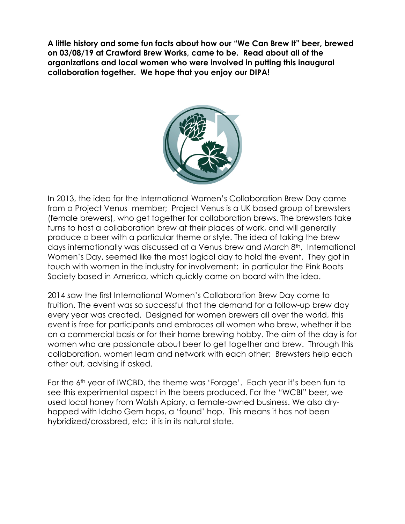**A little history and some fun facts about how our "We Can Brew It" beer, brewed on 03/08/19 at Crawford Brew Works, came to be. Read about all of the organizations and local women who were involved in putting this inaugural collaboration together. We hope that you enjoy our DIPA!**



In 2013, the idea for the International Women's Collaboration Brew Day came from a Project Venus member; Project Venus is a UK based group of brewsters (female brewers), who get together for collaboration brews. The brewsters take turns to host a collaboration brew at their places of work, and will generally produce a beer with a particular theme or style. The idea of taking the brew days internationally was discussed at a Venus brew and March 8th, International Women's Day, seemed like the most logical day to hold the event. They got in touch with women in the industry for involvement; in particular the Pink Boots Society based in America, which quickly came on board with the idea.

2014 saw the first International Women's Collaboration Brew Day come to fruition. The event was so successful that the demand for a follow-up brew day every year was created. Designed for women brewers all over the world, this event is free for participants and embraces all women who brew, whether it be on a commercial basis or for their home brewing hobby. The aim of the day is for women who are passionate about beer to get together and brew. Through this collaboration, women learn and network with each other; Brewsters help each other out, advising if asked.

For the 6th year of IWCBD, the theme was 'Forage'. Each year it's been fun to see this experimental aspect in the beers produced. For the "WCBI" beer, we used local honey from Walsh Apiary, a female-owned business. We also dryhopped with Idaho Gem hops, a 'found' hop. This means it has not been hybridized/crossbred, etc; it is in its natural state.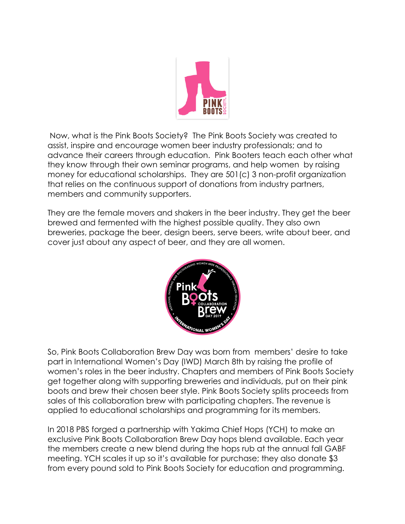

Now, what is the Pink Boots Society? The Pink Boots Society was created to assist, inspire and encourage women beer industry professionals; and to advance their careers through education. Pink Booters teach each other what they know through their own seminar programs, and help women by raising money for educational scholarships. They are 501(c) 3 non-profit organization that relies on the continuous support of donations from industry partners, members and community supporters.

They are the female movers and shakers in the beer industry. They get the beer brewed and fermented with the highest possible quality. They also own breweries, package the beer, design beers, serve beers, write about beer, and cover just about any aspect of beer, and they are all women.



So, Pink Boots Collaboration Brew Day was born from members' desire to take part in International Women's Day (IWD) March 8th by raising the profile of women's roles in the beer industry. Chapters and members of Pink Boots Society get together along with supporting breweries and individuals, put on their pink boots and brew their chosen beer style. Pink Boots Society splits proceeds from sales of this collaboration brew with participating chapters. The revenue is applied to educational scholarships and programming for its members.

In 2018 PBS forged a partnership with Yakima Chief Hops (YCH) to make an exclusive Pink Boots Collaboration Brew Day hops blend available. Each year the members create a new blend during the hops rub at the annual fall GABF meeting. YCH scales it up so it's available for purchase; they also donate \$3 from every pound sold to Pink Boots Society for education and programming.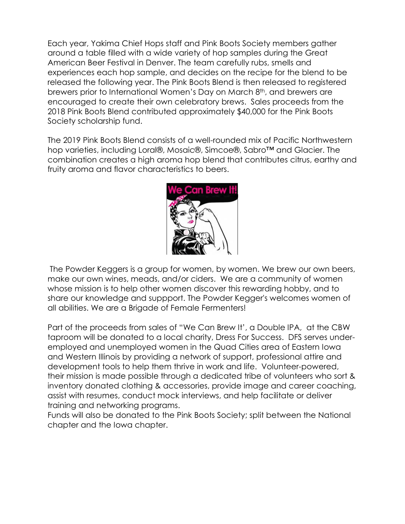Each year, Yakima Chief Hops staff and Pink Boots Society members gather around a table filled with a wide variety of hop samples during the Great American Beer Festival in Denver. The team carefully rubs, smells and experiences each hop sample, and decides on the recipe for the blend to be released the following year. The Pink Boots Blend is then released to registered brewers prior to International Women's Day on March 8<sup>th</sup>, and brewers are encouraged to create their own celebratory brews. Sales proceeds from the 2018 Pink Boots Blend contributed approximately \$40,000 for the Pink Boots Society scholarship fund.

The 2019 Pink Boots Blend consists of a well-rounded mix of Pacific Northwestern hop varieties, including Loral®, Mosaic®, Simcoe®, Sabro™ and Glacier. The combination creates a high aroma hop blend that contributes citrus, earthy and fruity aroma and flavor characteristics to beers.



The Powder Keggers is a group for women, by women. We brew our own beers, make our own wines, meads, and/or ciders. We are a community of women whose mission is to help other women discover this rewarding hobby, and to share our knowledge and suppport. The Powder Kegger's welcomes women of all abilities. We are a Brigade of Female Fermenters!

Part of the proceeds from sales of "We Can Brew It', a Double IPA, at the CBW taproom will be donated to a local charity, Dress For Success. DFS serves underemployed and unemployed women in the Quad Cities area of Eastern Iowa and Western Illinois by providing a network of support, professional attire and development tools to help them thrive in work and life. Volunteer-powered, their mission is made possible through a dedicated tribe of volunteers who sort & inventory donated clothing & accessories, provide image and career coaching, assist with resumes, conduct mock interviews, and help facilitate or deliver training and networking programs.

Funds will also be donated to the Pink Boots Society; split between the National chapter and the Iowa chapter.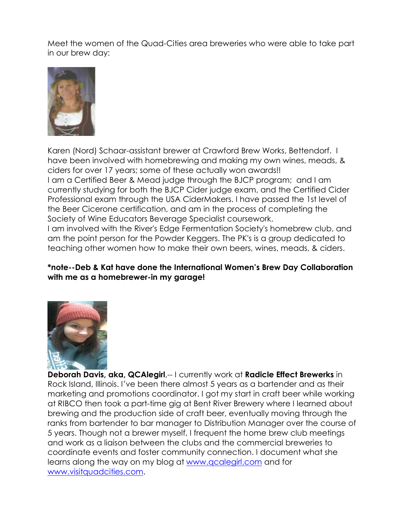Meet the women of the Quad-Cities area breweries who were able to take part in our brew day:



Karen (Nord) Schaar-assistant brewer at Crawford Brew Works, Bettendorf. I have been involved with homebrewing and making my own wines, meads, & ciders for over 17 years; some of these actually won awards!! I am a Certified Beer & Mead judge through the BJCP program; and I am currently studying for both the BJCP Cider judge exam, and the Certified Cider Professional exam through the USA CiderMakers. I have passed the 1st level of the Beer Cicerone certification, and am in the process of completing the Society of Wine Educators Beverage Specialist coursework.

I am involved with the River's Edge Fermentation Society's homebrew club, and am the point person for the Powder Keggers. The PK's is a group dedicated to teaching other women how to make their own beers, wines, meads, & ciders.

## **\*note--Deb & Kat have done the International Women's Brew Day Collaboration with me as a homebrewer-in my garage!**



**Deborah Davis, aka, QCAlegirl**,-- I currently work at **Radicle Effect Brewerks** in Rock Island, Illinois. I've been there almost 5 years as a bartender and as their marketing and promotions coordinator. I got my start in craft beer while working at RIBCO then took a part-time gig at Bent River Brewery where I learned about brewing and the production side of craft beer, eventually moving through the ranks from bartender to bar manager to Distribution Manager over the course of 5 years. Though not a brewer myself, I frequent the home brew club meetings and work as a liaison between the clubs and the commercial breweries to coordinate events and foster community connection. I document what she learns along the way on my blog at [www.qcalegirl.com](http://www.qcalegirl.com/) and for [www.visitquadcities.com.](http://www.visitquadcities.com/)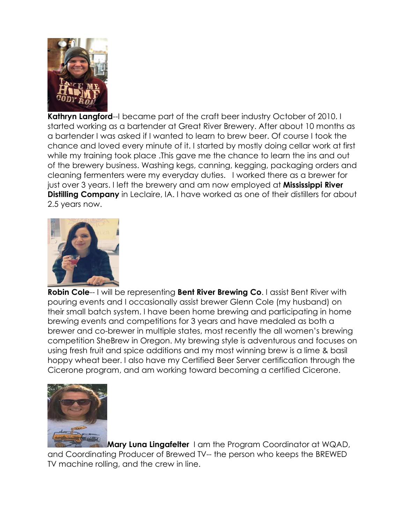

**Kathryn Langford--I** became part of the craft beer industry October of 2010. I started working as a bartender at Great River Brewery. After about 10 months as a bartender I was asked if I wanted to learn to brew beer. Of course I took the chance and loved every minute of it. I started by mostly doing cellar work at first while my training took place .This gave me the chance to learn the ins and out of the brewery business. Washing kegs, canning, kegging, packaging orders and cleaning fermenters were my everyday duties. I worked there as a brewer for just over 3 years. I left the brewery and am now employed at **Mississippi River Distilling Company** in Leclaire, IA. I have worked as one of their distillers for about 2.5 years now.



**Robin Cole**-- I will be representing **Bent River Brewing Co**. I assist Bent River with pouring events and I occasionally assist brewer Glenn Cole (my husband) on their small batch system. I have been home brewing and participating in home brewing events and competitions for 3 years and have medaled as both a brewer and co-brewer in multiple states, most recently the all women's brewing competition SheBrew in Oregon. My brewing style is adventurous and focuses on using fresh fruit and spice additions and my most winning brew is a lime & basil hoppy wheat beer. I also have my Certified Beer Server certification through the Cicerone program, and am working toward becoming a certified Cicerone.



**Mary Luna Lingafelter** I am the Program Coordinator at WQAD, and Coordinating Producer of Brewed TV-- the person who keeps the BREWED TV machine rolling, and the crew in line.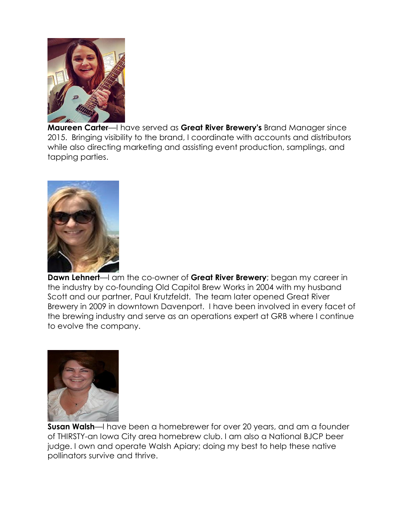

**Maureen Carter**—I have served as **Great River Brewery's** Brand Manager since 2015. Bringing visibility to the brand, I coordinate with accounts and distributors while also directing marketing and assisting event production, samplings, and tapping parties.



**Dawn Lehnert**—I am the co-owner of **Great River Brewery**; began my career in the industry by co-founding Old Capitol Brew Works in 2004 with my husband Scott and our partner, Paul Krutzfeldt. The team later opened Great River Brewery in 2009 in downtown Davenport. I have been involved in every facet of the brewing industry and serve as an operations expert at GRB where I continue to evolve the company.



**Susan Walsh**—I have been a homebrewer for over 20 years, and am a founder of THIRSTY-an Iowa City area homebrew club. I am also a National BJCP beer judge. I own and operate Walsh Apiary; doing my best to help these native pollinators survive and thrive.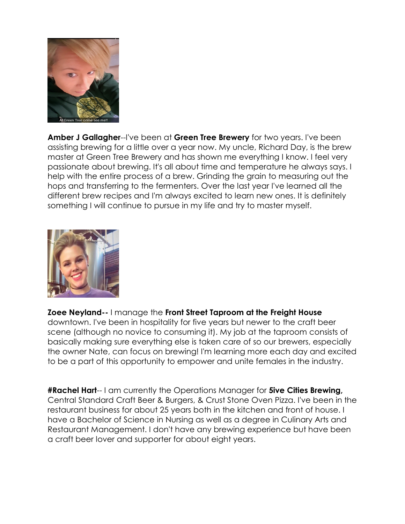

**Amber J Gallagher**--I've been at **Green Tree Brewery** for two years. I've been assisting brewing for a little over a year now. My uncle, Richard Day, is the brew master at Green Tree Brewery and has shown me everything I know. I feel very passionate about brewing. It's all about time and temperature he always says. I help with the entire process of a brew. Grinding the grain to measuring out the hops and transferring to the fermenters. Over the last year I've learned all the different brew recipes and I'm always excited to learn new ones. It is definitely something I will continue to pursue in my life and try to master myself.



## **Zoee Neyland--** I manage the **Front Street Taproom at the Freight House**

downtown. I've been in hospitality for five years but newer to the craft beer scene (although no novice to consuming it). My job at the taproom consists of basically making sure everything else is taken care of so our brewers, especially the owner Nate, can focus on brewing! I'm learning more each day and excited to be a part of this opportunity to empower and unite females in the industry.

**#Rachel Hart**-- I am currently the Operations Manager for **5ive Cities Brewing,** Central Standard Craft Beer & Burgers, & Crust Stone Oven Pizza. I've been in the restaurant business for about 25 years both in the kitchen and front of house. I have a Bachelor of Science in Nursing as well as a degree in Culinary Arts and Restaurant Management. I don't have any brewing experience but have been a craft beer lover and supporter for about eight years.